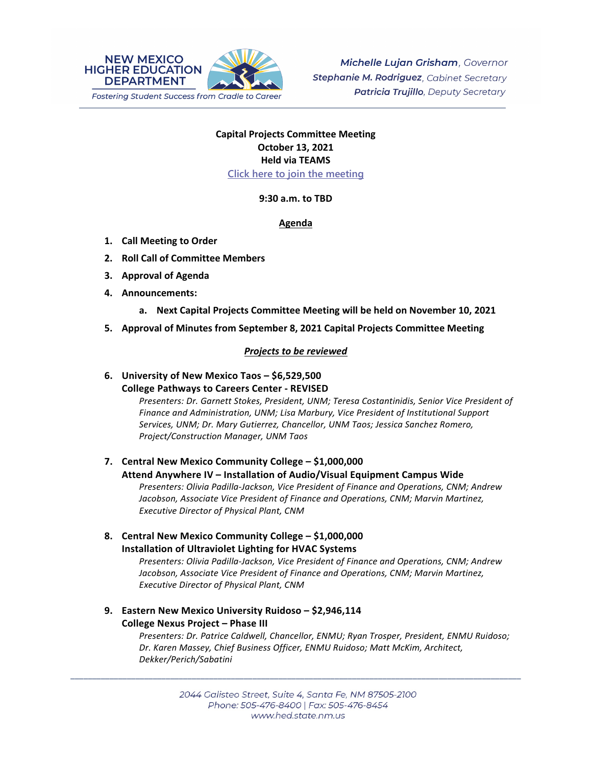

# **Capital Projects Committee Meeting October 13, 2021 Held via TEAMS [Click here to join the meeting](https://teams.microsoft.com/l/meetup-join/19%3ameeting_OWQ2YWRkMDUtNTU3Mi00NjUxLTk1OGItOGNlZDdhNjAzZThi%40thread.v2/0?context=%7b%22Tid%22%3a%2204aa6bf4-d436-426f-bfa4-04b7a70e60ff%22%2c%22Oid%22%3a%222844ecea-db84-4cd8-97b7-9d410f1aa07b%22%7d)**

**9:30 a.m. to TBD**

#### **Agenda**

- **1. Call Meeting to Order**
- **2. Roll Call of Committee Members**
- **3. Approval of Agenda**
- **4. Announcements:**
	- **a. Next Capital Projects Committee Meeting will be held on November 10, 2021**
- **5. Approval of Minutes from September 8, 2021 Capital Projects Committee Meeting**

### *Projects to be reviewed*

# **6. University of New Mexico Taos – \$6,529,500 College Pathways to Careers Center - REVISED**

*Presenters: Dr. Garnett Stokes, President, UNM; Teresa Costantinidis, Senior Vice President of Finance and Administration, UNM; Lisa Marbury, Vice President of Institutional Support Services, UNM; Dr. Mary Gutierrez, Chancellor, UNM Taos; Jessica Sanchez Romero, Project/Construction Manager, UNM Taos*

# **7. Central New Mexico Community College – \$1,000,000**

### **Attend Anywhere IV – Installation of Audio/Visual Equipment Campus Wide**

*Presenters: Olivia Padilla-Jackson, Vice President of Finance and Operations, CNM; Andrew Jacobson, Associate Vice President of Finance and Operations, CNM; Marvin Martinez, Executive Director of Physical Plant, CNM*

**8. Central New Mexico Community College – \$1,000,000 Installation of Ultraviolet Lighting for HVAC Systems**

*Presenters: Olivia Padilla-Jackson, Vice President of Finance and Operations, CNM; Andrew Jacobson, Associate Vice President of Finance and Operations, CNM; Marvin Martinez, Executive Director of Physical Plant, CNM*

# **9. Eastern New Mexico University Ruidoso – \$2,946,114 College Nexus Project – Phase III**

*Presenters: Dr. Patrice Caldwell, Chancellor, ENMU; Ryan Trosper, President, ENMU Ruidoso; Dr. Karen Massey, Chief Business Officer, ENMU Ruidoso; Matt McKim, Architect, Dekker/Perich/Sabatini*

\_\_\_\_\_\_\_\_\_\_\_\_\_\_\_\_\_\_\_\_\_\_\_\_\_\_\_\_\_\_\_\_\_\_\_\_\_\_\_\_\_\_\_\_\_\_\_\_\_\_\_\_\_\_\_\_\_\_\_\_\_\_\_\_\_\_\_\_\_\_\_\_\_\_\_\_\_\_\_\_\_\_\_\_\_\_\_\_\_\_\_\_\_\_\_\_\_\_\_\_\_\_\_\_